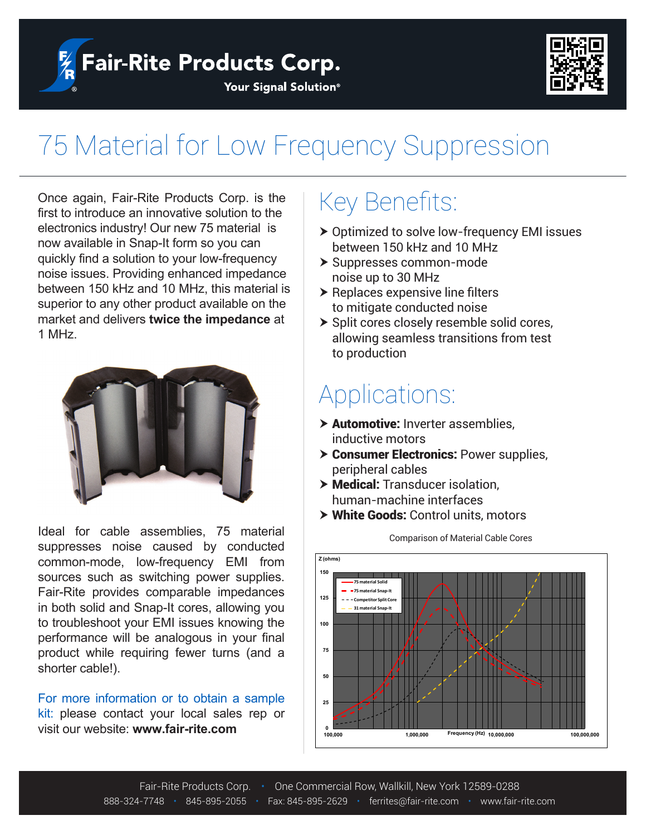$\frac{1}{2}$  Fair-Rite Products Corp.



#### Your Signal Solution®

# 75 Material for Low Frequency Suppression

Once again, Fair-Rite Products Corp. is the first to introduce an innovative solution to the electronics industry! Our new 75 material is now available in Snap-It form so you can quickly find a solution to your low-frequency noise issues. Providing enhanced impedance between 150 kHz and 10 MHz, this material is superior to any other product available on the market and delivers **twice the impedance** at 1 MHz.



Ideal for cable assemblies, 75 material suppresses noise caused by conducted common-mode, low-frequency EMI from sources such as switching power supplies. Fair-Rite provides comparable impedances in both solid and Snap-It cores, allowing you to troubleshoot your EMI issues knowing the performance will be analogous in your final product while requiring fewer turns (and a shorter cable!).

For more information or to obtain a sample kit: please contact your local sales rep or visit our website: **www.fair-rite.com**

## Key Benefits:

- $\triangleright$  Optimized to solve low-frequency EMI issues between 150 kHz and 10 MHz
- > Suppresses common-mode noise up to 30 MHz
- $\blacktriangleright$  Replaces expensive line filters to mitigate conducted noise
- $\triangleright$  Split cores closely resemble solid cores, allowing seamless transitions from test to production

### Applications:

- $\triangleright$  Automotive: Inverter assemblies, inductive motors
- $\triangleright$  Consumer Electronics: Power supplies, peripheral cables
- > Medical: Transducer isolation, human-machine interfaces
- > White Goods: Control units, motors



#### Comparison of Material Cable Cores